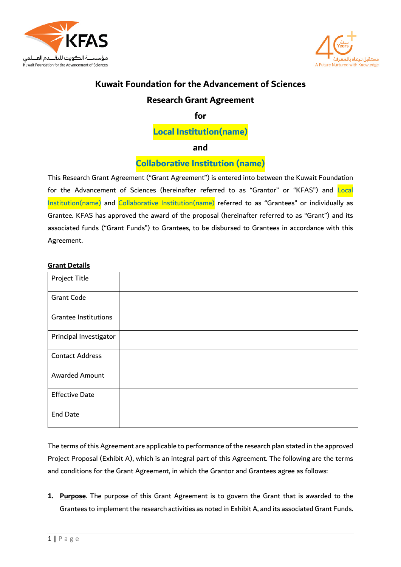



# **Kuwait Foundation for the Advancement of Sciences**

## **Research Grant Agreement**

**for**

**Local Institution(name)**

**and**

**Collaborative Institution (name)**

This Research Grant Agreement ("Grant Agreement") is entered into between the Kuwait Foundation for the Advancement of Sciences (hereinafter referred to as "Grantor" or "KFAS") and Local Institution(name) and Collaborative Institution(name) referred to as "Grantees" or individually as Grantee. KFAS has approved the award of the proposal (hereinafter referred to as "Grant") and its associated funds ("Grant Funds") to Grantees, to be disbursed to Grantees in accordance with this Agreement.

## **Grant Details**

| Project Title               |  |
|-----------------------------|--|
| <b>Grant Code</b>           |  |
| <b>Grantee Institutions</b> |  |
| Principal Investigator      |  |
| <b>Contact Address</b>      |  |
| <b>Awarded Amount</b>       |  |
| <b>Effective Date</b>       |  |
| <b>End Date</b>             |  |

The terms of this Agreement are applicable to performance of the research plan stated in the approved Project Proposal (Exhibit A), which is an integral part of this Agreement. The following are the terms and conditions for the Grant Agreement, in which the Grantor and Grantees agree as follows:

**1. Purpose**. The purpose of this Grant Agreement is to govern the Grant that is awarded to the Grantees to implement the research activities as noted in Exhibit A, and its associated Grant Funds.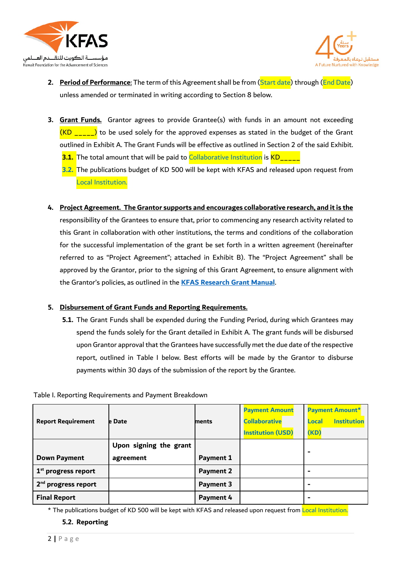



- **2. Period of Performance**: The term of this Agreement shall be from (Start date) through (End Date) unless amended or terminated in writing according to Section 8 below.
- **3. Grant Funds.** Grantor agrees to provide Grantee(s) with funds in an amount not exceeding  $(KD_{\text{max}})$  to be used solely for the approved expenses as stated in the budget of the Grant outlined in Exhibit A. The Grant Funds will be effective as outlined in Section 2 of the said Exhibit. **3.1.** The total amount that will be paid to Collaborative Institution is KD\_\_\_\_
	- **3.2.** The publications budget of KD 500 will be kept with KFAS and released upon request from Local Institution.
- **4. Project Agreement. The Grantor supports and encourages collaborative research, and it is the** responsibility of the Grantees to ensure that, prior to commencing any research activity related to this Grant in collaboration with other institutions, the terms and conditions of the collaboration for the successful implementation of the grant be set forth in a written agreement (hereinafter referred to as "Project Agreement"; attached in Exhibit B). The "Project Agreement" shall be approved by the Grantor, prior to the signing of this Grant Agreement, to ensure alignment with the Grantor's policies, as outlined in the **[KFAS Research Grant Manual](https://kfas.sharepoint.com/Shared%20Documents/Forms/AllItems.aspx?id=%2FShared%20Documents%2FKFAS%20Research%20Grant%20Manual%202021%2Epdf&parent=%2FShared%20Documents)**.

## **5. Disbursement of Grant Funds and Reporting Requirements.**

**5.1.** The Grant Funds shall be expended during the Funding Period, during which Grantees may spend the funds solely for the Grant detailed in Exhibit A. The grant funds will be disbursed upon Grantor approval that the Grantees have successfully met the due date of the respective report, outlined in Table I below. Best efforts will be made by the Grantor to disburse payments within 30 days of the submission of the report by the Grantee.

#### Table I. Reporting Requirements and Payment Breakdown

| <b>Report Requirement</b>       | <b>le Date</b>         | ments            | <b>Payment Amount</b><br><b>Collaborative</b><br><b>Institution (USD)</b> | <b>Payment Amount*</b><br><b>Institution</b><br>Local<br>(KD) |
|---------------------------------|------------------------|------------------|---------------------------------------------------------------------------|---------------------------------------------------------------|
|                                 | Upon signing the grant |                  |                                                                           | -                                                             |
| <b>Down Payment</b>             | agreement              | <b>Payment 1</b> |                                                                           |                                                               |
| $1st$ progress report           |                        | <b>Payment 2</b> |                                                                           | -                                                             |
| 2 <sup>nd</sup> progress report |                        | <b>Payment 3</b> |                                                                           | -                                                             |
| <b>Final Report</b>             |                        | Payment 4        |                                                                           | -                                                             |

\* The publications budget of KD 500 will be kept with KFAS and released upon request from Local Institution.

#### **5.2. Reporting**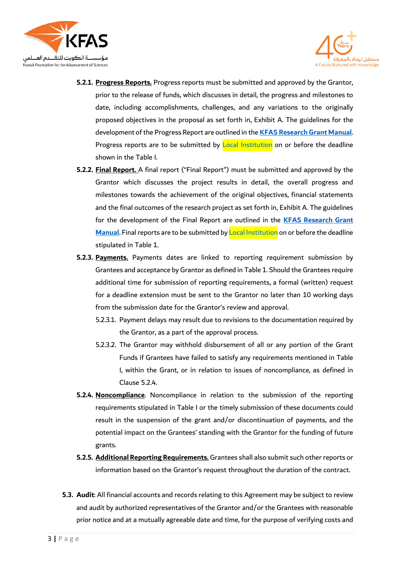



- **5.2.1. Progress Reports.** Progress reports must be submitted and approved by the Grantor, prior to the release of funds, which discusses in detail, the progress and milestones to date, including accomplishments, challenges, and any variations to the originally proposed objectives in the proposal as set forth in, Exhibit A. The guidelines for the development of the Progress Report are outlined in the **[KFAS Research Grant Manual](https://kfas.sharepoint.com/Shared%20Documents/Forms/AllItems.aspx?id=%2FShared%20Documents%2FKFAS%20Research%20Grant%20Manual%202021%2Epdf&parent=%2FShared%20Documents)**. Progress reports are to be submitted by Local Institution on or before the deadline shown in the Table I.
- **5.2.2. Final Report.** A final report ("Final Report") must be submitted and approved by the Grantor which discusses the project results in detail, the overall progress and milestones towards the achievement of the original objectives, financial statements and the final outcomes of the research project as set forth in, Exhibit A. The guidelines for the development of the Final Report are outlined in the **[KFAS Research Grant](https://kfas.sharepoint.com/Shared%20Documents/Forms/AllItems.aspx?id=%2FShared%20Documents%2FKFAS%20Research%20Grant%20Manual%202021%2Epdf&parent=%2FShared%20Documents)  [Manual](https://kfas.sharepoint.com/Shared%20Documents/Forms/AllItems.aspx?id=%2FShared%20Documents%2FKFAS%20Research%20Grant%20Manual%202021%2Epdf&parent=%2FShared%20Documents)**. Final reports are to be submitted by Local Institution on or before the deadline stipulated in Table 1.
- **5.2.3. Payments.** Payments dates are linked to reporting requirement submission by Grantees and acceptance by Grantor as defined in Table 1. Should the Grantees require additional time for submission of reporting requirements, a formal (written) request for a deadline extension must be sent to the Grantor no later than 10 working days from the submission date for the Grantor's review and approval.
	- 5.2.3.1. Payment delays may result due to revisions to the documentation required by the Grantor, as a part of the approval process.
	- 5.2.3.2. The Grantor may withhold disbursement of all or any portion of the Grant Funds if Grantees have failed to satisfy any requirements mentioned in Table I, within the Grant, or in relation to issues of noncompliance, as defined in Clause 5.2.4.
- **5.2.4. Noncompliance**. Noncompliance in relation to the submission of the reporting requirements stipulated in Table I or the timely submission of these documents could result in the suspension of the grant and/or discontinuation of payments, and the potential impact on the Grantees' standing with the Grantor for the funding of future grants.
- **5.2.5. Additional Reporting Requirements.** Grantees shall also submit such other reports or information based on the Grantor's request throughout the duration of the contract.
- **5.3. Audit**: All financial accounts and records relating to this Agreement may be subject to review and audit by authorized representatives of the Grantor and/or the Grantees with reasonable prior notice and at a mutually agreeable date and time, for the purpose of verifying costs and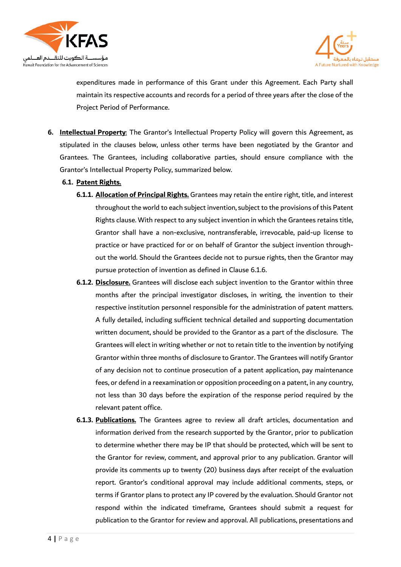



expenditures made in performance of this Grant under this Agreement. Each Party shall maintain its respective accounts and records for a period of three years after the close of the Project Period of Performance.

- **6. Intellectual Property**: The Grantor's Intellectual Property Policy will govern this Agreement, as stipulated in the clauses below, unless other terms have been negotiated by the Grantor and Grantees. The Grantees, including collaborative parties, should ensure compliance with the Grantor's Intellectual Property Policy, summarized below.
	- **6.1. Patent Rights.**
		- **6.1.1. Allocation of Principal Rights.** Grantees may retain the entire right, title, and interest throughout the world to each subject invention, subject to the provisions of this Patent Rights clause. With respect to any subject invention in which the Grantees retains title, Grantor shall have a non-exclusive, nontransferable, irrevocable, paid-up license to practice or have practiced for or on behalf of Grantor the subject invention throughout the world. Should the Grantees decide not to pursue rights, then the Grantor may pursue protection of invention as defined in Clause 6.1.6.
		- **6.1.2. Disclosure.** Grantees will disclose each subject invention to the Grantor within three months after the principal investigator discloses, in writing, the invention to their respective institution personnel responsible for the administration of patent matters. A fully detailed, including sufficient technical detailed and supporting documentation written document, should be provided to the Grantor as a part of the disclosure. The Grantees will elect in writing whether or not to retain title to the invention by notifying Grantor within three months of disclosure to Grantor. The Grantees will notify Grantor of any decision not to continue prosecution of a patent application, pay maintenance fees, or defend in a reexamination or opposition proceeding on a patent, in any country, not less than 30 days before the expiration of the response period required by the relevant patent office.
		- **6.1.3. Publications.** The Grantees agree to review all draft articles, documentation and information derived from the research supported by the Grantor, prior to publication to determine whether there may be IP that should be protected, which will be sent to the Grantor for review, comment, and approval prior to any publication. Grantor will provide its comments up to twenty (20) business days after receipt of the evaluation report. Grantor's conditional approval may include additional comments, steps, or terms if Grantor plans to protect any IP covered by the evaluation. Should Grantor not respond within the indicated timeframe, Grantees should submit a request for publication to the Grantor for review and approval. All publications, presentations and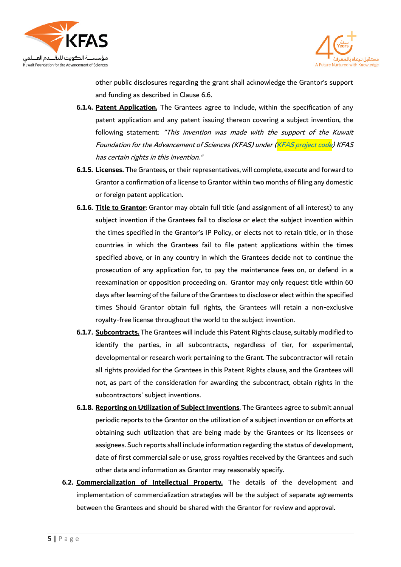



other public disclosures regarding the grant shall acknowledge the Grantor's support and funding as described in Clause 6.6.

- **6.1.4. Patent Application.** The Grantees agree to include, within the specification of any patent application and any patent issuing thereon covering a subject invention, the following statement: "This invention was made with the support of the Kuwait Foundation for the Advancement of Sciences (KFAS) under (KFAS project code) KFAS has certain rights in this invention."
- **6.1.5. Licenses.** The Grantees, or their representatives, will complete, execute and forward to Grantor a confirmation of a license to Grantor within two months of filing any domestic or foreign patent application.
- **6.1.6. Title to Grantor**: Grantor may obtain full title (and assignment of all interest) to any subject invention if the Grantees fail to disclose or elect the subject invention within the times specified in the Grantor's IP Policy, or elects not to retain title, or in those countries in which the Grantees fail to file patent applications within the times specified above, or in any country in which the Grantees decide not to continue the prosecution of any application for, to pay the maintenance fees on, or defend in a reexamination or opposition proceeding on. Grantor may only request title within 60 days after learning of the failure of the Grantees to disclose or elect within the specified times Should Grantor obtain full rights, the Grantees will retain a non-exclusive royalty-free license throughout the world to the subject invention.
- **6.1.7. Subcontracts.** The Grantees will include this Patent Rights clause, suitably modified to identify the parties, in all subcontracts, regardless of tier, for experimental, developmental or research work pertaining to the Grant. The subcontractor will retain all rights provided for the Grantees in this Patent Rights clause, and the Grantees will not, as part of the consideration for awarding the subcontract, obtain rights in the subcontractors' subject inventions.
- **6.1.8. Reporting on Utilization of Subject Inventions**. The Grantees agree to submit annual periodic reports to the Grantor on the utilization of a subject invention or on efforts at obtaining such utilization that are being made by the Grantees or its licensees or assignees. Such reports shall include information regarding the status of development, date of first commercial sale or use, gross royalties received by the Grantees and such other data and information as Grantor may reasonably specify.
- **6.2. Commercialization of Intellectual Property.** The details of the development and implementation of commercialization strategies will be the subject of separate agreements between the Grantees and should be shared with the Grantor for review and approval.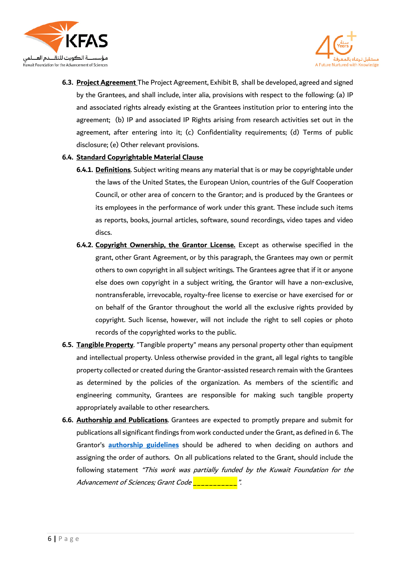



**6.3. Project Agreement** The Project Agreement, Exhibit B, shall be developed, agreed and signed by the Grantees, and shall include, inter alia, provisions with respect to the following: (a) IP and associated rights already existing at the Grantees institution prior to entering into the agreement; (b) IP and associated IP Rights arising from research activities set out in the agreement, after entering into it; (c) Confidentiality requirements; (d) Terms of public disclosure; (e) Other relevant provisions.

#### **6.4. Standard Copyrightable Material Clause**

- **6.4.1. Definitions**. Subject writing means any material that is or may be copyrightable under the laws of the United States, the European Union, countries of the Gulf Cooperation Council, or other area of concern to the Grantor; and is produced by the Grantees or its employees in the performance of work under this grant. These include such items as reports, books, journal articles, software, sound recordings, video tapes and video discs.
- **6.4.2. Copyright Ownership, the Grantor License.** Except as otherwise specified in the grant, other Grant Agreement, or by this paragraph, the Grantees may own or permit others to own copyright in all subject writings. The Grantees agree that if it or anyone else does own copyright in a subject writing, the Grantor will have a non-exclusive, nontransferable, irrevocable, royalty-free license to exercise or have exercised for or on behalf of the Grantor throughout the world all the exclusive rights provided by copyright. Such license, however, will not include the right to sell copies or photo records of the copyrighted works to the public.
- **6.5. Tangible Property**. "Tangible property" means any personal property other than equipment and intellectual property. Unless otherwise provided in the grant, all legal rights to tangible property collected or created during the Grantor-assisted research remain with the Grantees as determined by the policies of the organization. As members of the scientific and engineering community, Grantees are responsible for making such tangible property appropriately available to other researchers.
- **6.6. Authorship and Publications**. Grantees are expected to promptly prepare and submit for publications all significant findings from work conducted under the Grant, as defined in 6. The Grantor's **authorship guidelines** should be adhered to when deciding on authors and assigning the order of authors. On all publications related to the Grant, should include the following statement "This work was partially funded by the Kuwait Foundation for the Advancement of Sciences; Grant Code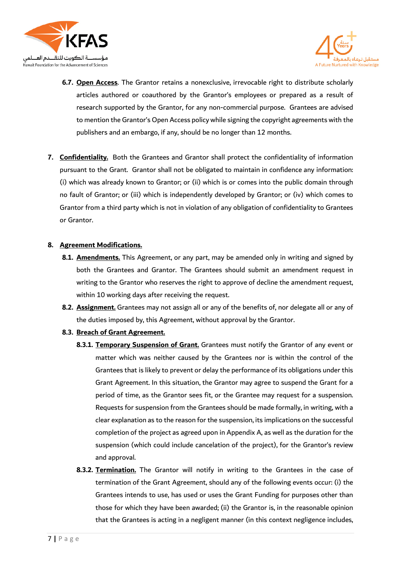



- **6.7. Open Access**. The Grantor retains a nonexclusive, irrevocable right to distribute scholarly articles authored or coauthored by the Grantor's employees or prepared as a result of research supported by the Grantor, for any non-commercial purpose. Grantees are advised to mention the Grantor's Open Access policy while signing the copyright agreements with the publishers and an embargo, if any, should be no longer than 12 months.
- **7. Confidentiality.** Both the Grantees and Grantor shall protect the confidentiality of information pursuant to the Grant. Grantor shall not be obligated to maintain in confidence any information: (i) which was already known to Grantor; or (ii) which is or comes into the public domain through no fault of Grantor; or (iii) which is independently developed by Grantor; or (iv) which comes to Grantor from a third party which is not in violation of any obligation of confidentiality to Grantees or Grantor.

#### **8. Agreement Modifications.**

- **8.1. Amendments.** This Agreement, or any part, may be amended only in writing and signed by both the Grantees and Grantor. The Grantees should submit an amendment request in writing to the Grantor who reserves the right to approve of decline the amendment request, within 10 working days after receiving the request.
- **8.2. Assignment.** Grantees may not assign all or any of the benefits of, nor delegate all or any of the duties imposed by, this Agreement, without approval by the Grantor.
- **8.3. Breach of Grant Agreement.**
	- **8.3.1. Temporary Suspension of Grant.** Grantees must notify the Grantor of any event or matter which was neither caused by the Grantees nor is within the control of the Grantees that is likely to prevent or delay the performance of its obligations under this Grant Agreement. In this situation, the Grantor may agree to suspend the Grant for a period of time, as the Grantor sees fit, or the Grantee may request for a suspension. Requests for suspension from the Grantees should be made formally, in writing, with a clear explanation as to the reason for the suspension, its implications on the successful completion of the project as agreed upon in Appendix A, as well as the duration for the suspension (which could include cancelation of the project), for the Grantor's review and approval.
	- **8.3.2. Termination.** The Grantor will notify in writing to the Grantees in the case of termination of the Grant Agreement, should any of the following events occur: (i) the Grantees intends to use, has used or uses the Grant Funding for purposes other than those for which they have been awarded; (ii) the Grantor is, in the reasonable opinion that the Grantees is acting in a negligent manner (in this context negligence includes,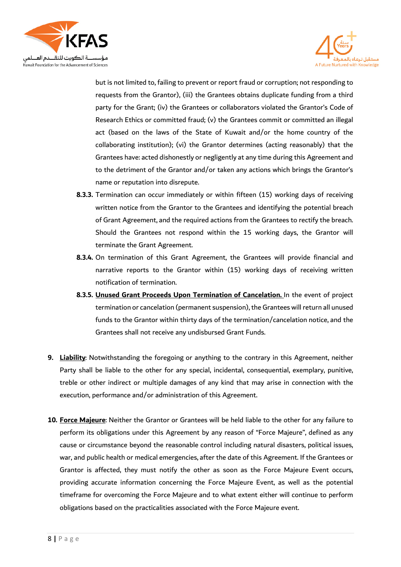



but is not limited to, failing to prevent or report fraud or corruption; not responding to requests from the Grantor), (iii) the Grantees obtains duplicate funding from a third party for the Grant; (iv) the Grantees or collaborators violated the Grantor's Code of Research Ethics or committed fraud; (v) the Grantees commit or committed an illegal act (based on the laws of the State of Kuwait and/or the home country of the collaborating institution); (vi) the Grantor determines (acting reasonably) that the Grantees have: acted dishonestly or negligently at any time during this Agreement and to the detriment of the Grantor and/or taken any actions which brings the Grantor's name or reputation into disrepute.

- **8.3.3.** Termination can occur immediately or within fifteen (15) working days of receiving written notice from the Grantor to the Grantees and identifying the potential breach of Grant Agreement, and the required actions from the Grantees to rectify the breach. Should the Grantees not respond within the 15 working days, the Grantor will terminate the Grant Agreement.
- **8.3.4.** On termination of this Grant Agreement, the Grantees will provide financial and narrative reports to the Grantor within (15) working days of receiving written notification of termination.
- **8.3.5. Unused Grant Proceeds Upon Termination of Cancelation.** In the event of project termination or cancelation (permanent suspension), the Grantees will return all unused funds to the Grantor within thirty days of the termination/cancelation notice, and the Grantees shall not receive any undisbursed Grant Funds.
- **9. Liability**: Notwithstanding the foregoing or anything to the contrary in this Agreement, neither Party shall be liable to the other for any special, incidental, consequential, exemplary, punitive, treble or other indirect or multiple damages of any kind that may arise in connection with the execution, performance and/or administration of this Agreement.
- **10. Force Majeure**: Neither the Grantor or Grantees will be held liable to the other for any failure to perform its obligations under this Agreement by any reason of "Force Majeure", defined as any cause or circumstance beyond the reasonable control including natural disasters, political issues, war, and public health or medical emergencies, after the date of this Agreement. If the Grantees or Grantor is affected, they must notify the other as soon as the Force Majeure Event occurs, providing accurate information concerning the Force Majeure Event, as well as the potential timeframe for overcoming the Force Majeure and to what extent either will continue to perform obligations based on the practicalities associated with the Force Majeure event.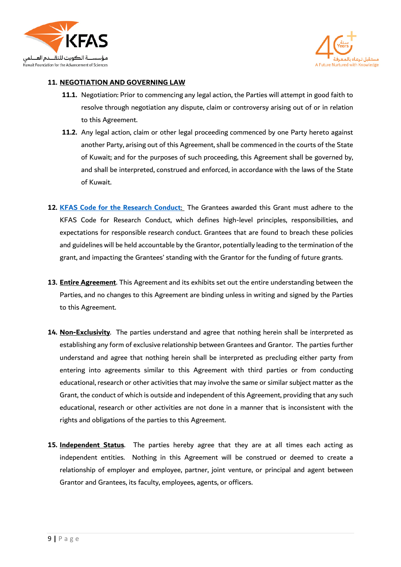



#### **11. NEGOTIATION AND GOVERNING LAW**

- **11.1.** Negotiation: Prior to commencing any legal action, the Parties will attempt in good faith to resolve through negotiation any dispute, claim or controversy arising out of or in relation to this Agreement.
- **11.2.** Any legal action, claim or other legal proceeding commenced by one Party hereto against another Party, arising out of this Agreement, shall be commenced in the courts of the State of Kuwait; and for the purposes of such proceeding, this Agreement shall be governed by, and shall be interpreted, construed and enforced, in accordance with the laws of the State of Kuwait.
- **12. [KFAS Code for the Research Conduct](https://kfas.sharepoint.com/Shared%20Documents/Forms/AllItems.aspx?id=%2FShared%20Documents%2FResearch%20%2D%20KFAS%20Website%2FKFAS%20Code%20for%20Research%20Conduct%20%28KFAS%20CRC%29%20%2D%20November%202020%20%2D%20final%2Epdf&parent=%2FShared%20Documents%2FResearch%20%2D%20KFAS%20Website&p=true&originalPath=aHR0cHM6Ly9rZmFzLnNoYXJlcG9pbnQuY29tLzpiOi9nL0Vkd25zWllIcTBWTnIwcjFlbEU2QWtZQnZMSnJvOWlvcVc3NTVITzcwcVpKakE_cnRpbWU9dUpzamVwT00yVWc)**: The Grantees awarded this Grant must adhere to the KFAS Code for Research Conduct, which defines high-level principles, responsibilities, and expectations for responsible research conduct. Grantees that are found to breach these policies and guidelines will be held accountable by the Grantor, potentially leading to the termination of the grant, and impacting the Grantees' standing with the Grantor for the funding of future grants.
- **13. Entire Agreement**. This Agreement and its exhibits set out the entire understanding between the Parties, and no changes to this Agreement are binding unless in writing and signed by the Parties to this Agreement.
- **14. Non-Exclusivity**. The parties understand and agree that nothing herein shall be interpreted as establishing any form of exclusive relationship between Grantees and Grantor. The parties further understand and agree that nothing herein shall be interpreted as precluding either party from entering into agreements similar to this Agreement with third parties or from conducting educational, research or other activities that may involve the same or similar subject matter as the Grant, the conduct of which is outside and independent of this Agreement, providing that any such educational, research or other activities are not done in a manner that is inconsistent with the rights and obligations of the parties to this Agreement.
- **15. Independent Status**. The parties hereby agree that they are at all times each acting as independent entities. Nothing in this Agreement will be construed or deemed to create a relationship of employer and employee, partner, joint venture, or principal and agent between Grantor and Grantees, its faculty, employees, agents, or officers.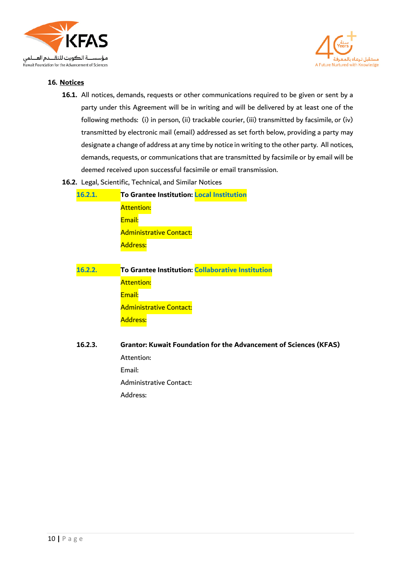



#### **16. Notices**

- **16.1.** All notices, demands, requests or other communications required to be given or sent by a party under this Agreement will be in writing and will be delivered by at least one of the following methods: (i) in person, (ii) trackable courier, (iii) transmitted by facsimile, or (iv) transmitted by electronic mail (email) addressed as set forth below, providing a party may designate a change of address at any time by notice in writing to the other party. All notices, demands, requests, or communications that are transmitted by facsimile or by email will be deemed received upon successful facsimile or email transmission.
- **16.2.** Legal, Scientific, Technical, and Similar Notices

| 16.2.1. | To Grantee Institution: Local Institution |
|---------|-------------------------------------------|
|         | <b>Attention:</b>                         |
|         | Email:                                    |
|         | <b>Administrative Contact:</b>            |
|         | Address:                                  |

| 16.2.2. | To Grantee Institution: Collaborative Institution |
|---------|---------------------------------------------------|
|         | <b>Attention:</b>                                 |
|         | Email:                                            |
|         | <b>Administrative Contact:</b>                    |
|         | Address:                                          |

**16.2.3. Grantor: Kuwait Foundation for the Advancement of Sciences (KFAS)** Attention: Email: Administrative Contact: Address: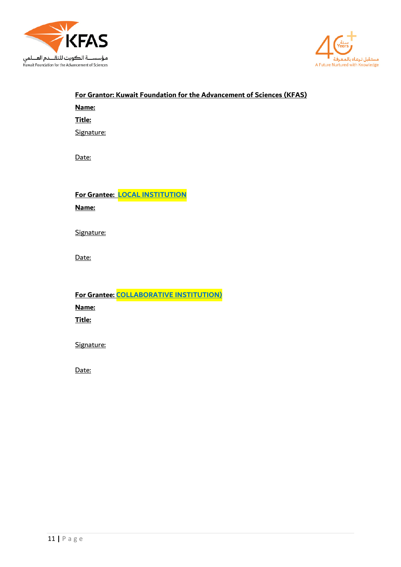



# **For Grantor: Kuwait Foundation for the Advancement of Sciences (KFAS) Name:**

**Title:**

Signature:

Date:

**For Grantee: LOCAL INSTITUTION**

**Name:** 

Signature:

Date:

**For Grantee: COLLABORATIVE INSTITUTION) Name: Title:**

Signature:

Date: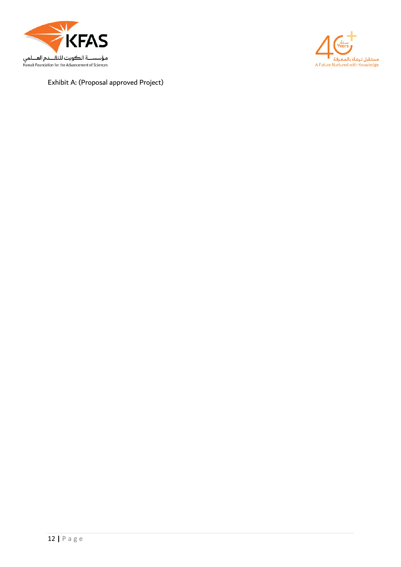



Exhibit A: (Proposal approved Project)